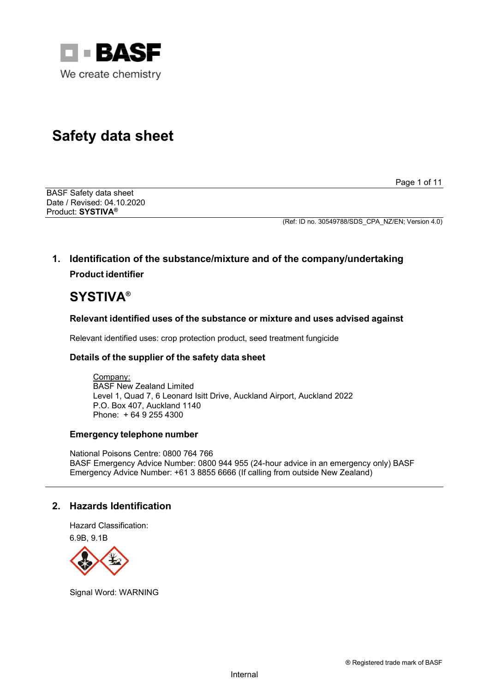

# **Safety data sheet**

Page 1 of 11

BASF Safety data sheet Date / Revised: 04.10.2020 Product: **SYSTIVA®**

(Ref: ID no. 30549788/SDS\_CPA\_NZ/EN; Version 4.0)

# **1. Identification of the substance/mixture and of the company/undertaking Product identifier**

# **SYSTIVA®**

# **Relevant identified uses of the substance or mixture and uses advised against**

Relevant identified uses: crop protection product, seed treatment fungicide

# **Details of the supplier of the safety data sheet**

Company: BASF New Zealand Limited Level 1, Quad 7, 6 Leonard Isitt Drive, Auckland Airport, Auckland 2022 P.O. Box 407, Auckland 1140 Phone: + 64 9 255 4300

## **Emergency telephone number**

National Poisons Centre: 0800 764 766 BASF Emergency Advice Number: 0800 944 955 (24-hour advice in an emergency only) BASF Emergency Advice Number: +61 3 8855 6666 (If calling from outside New Zealand)

# **2. Hazards Identification**

Hazard Classification: 6.9B, 9.1B



Signal Word: WARNING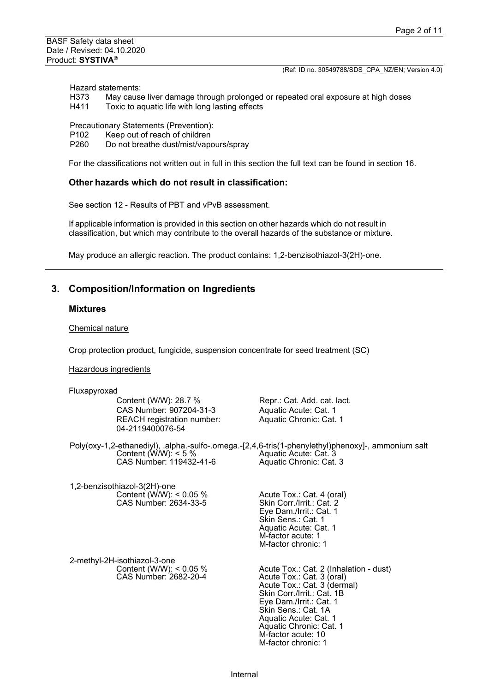Hazard statements:<br>H373 May cause

- H373 May cause liver damage through prolonged or repeated oral exposure at high doses<br>H411 Toxic to aguatic life with long lasting effects
- Toxic to aquatic life with long lasting effects

Precautionary Statements (Prevention):<br>P102 Keep out of reach of children

- P102 Keep out of reach of children<br>P260 Do not breathe dust/mist/vape
- Do not breathe dust/mist/vapours/spray

For the classifications not written out in full in this section the full text can be found in section 16.

#### **Other hazards which do not result in classification:**

See section 12 - Results of PBT and vPvB assessment.

If applicable information is provided in this section on other hazards which do not result in classification, but which may contribute to the overall hazards of the substance or mixture.

May produce an allergic reaction. The product contains: 1,2-benzisothiazol-3(2H)-one.

## **3. Composition/Information on Ingredients**

## **Mixtures**

Chemical nature

Crop protection product, fungicide, suspension concentrate for seed treatment (SC)

Hazardous ingredients

| Content (W/W): 28.7 %                                 | Repr.: Cat. Add. cat. lact.                                                                                                                            |
|-------------------------------------------------------|--------------------------------------------------------------------------------------------------------------------------------------------------------|
| CAS Number: 907204-31-3                               | Aquatic Acute: Cat. 1                                                                                                                                  |
| <b>REACH</b> registration number:<br>04-2119400076-54 | Aquatic Chronic: Cat. 1                                                                                                                                |
| Content (W/W): $<$ 5 %<br>CAS Number: 119432-41-6     | Poly(oxy-1,2-ethanediyl), .alpha.-sulfo-.omega.-[2,4,6-tris(1-phenylethyl)phenoxy]-, ammonium salt<br>Aquatic Acute: Cat. 3<br>Aquatic Chronic: Cat. 3 |
|                                                       |                                                                                                                                                        |

1,2-benzisothiazol-3(2H)-one Content  $(W/W)$ : < 0.05 % CAS Number: 2634-33-5

2-methyl-2H-isothiazol-3-one Content (W/W): < 0.05 % CAS Number: 2682-20-4

Acute Tox.: Cat. 4 (oral) Skin Corr./Irrit.: Cat. 2 Eye Dam./Irrit.: Cat. 1 Skin Sens.: Cat. 1 Aquatic Acute: Cat. 1 M-factor acute: 1 M-factor chronic: 1

Acute Tox.: Cat. 2 (Inhalation - dust) Acute Tox.: Cat. 3 (oral) Acute Tox.: Cat. 3 (dermal) Skin Corr./Irrit.: Cat. 1B Eye Dam./Irrit.: Cat. 1 Skin Sens.: Cat. 1A Aquatic Acute: Cat. 1 Aquatic Chronic: Cat. 1 M-factor acute: 10 M-factor chronic: 1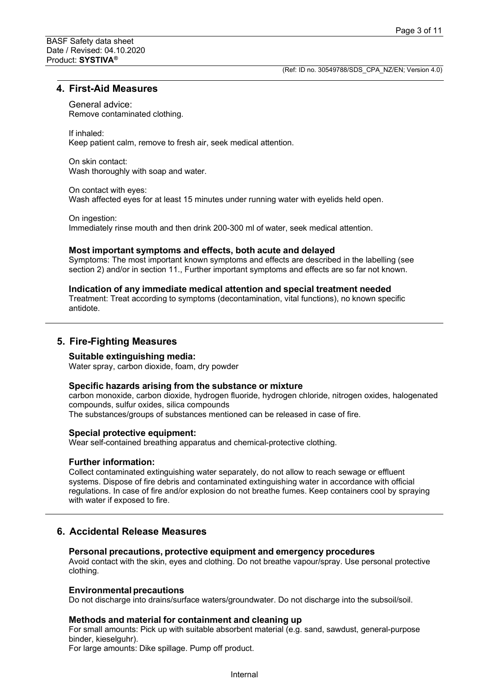## **4. First-Aid Measures**

General advice:

Remove contaminated clothing.

If inhaled:

Keep patient calm, remove to fresh air, seek medical attention.

On skin contact: Wash thoroughly with soap and water.

On contact with eyes: Wash affected eyes for at least 15 minutes under running water with eyelids held open.

On ingestion: Immediately rinse mouth and then drink 200-300 ml of water, seek medical attention.

#### **Most important symptoms and effects, both acute and delayed**

Symptoms: The most important known symptoms and effects are described in the labelling (see section 2) and/or in section 11., Further important symptoms and effects are so far not known.

#### **Indication of any immediate medical attention and special treatment needed**

Treatment: Treat according to symptoms (decontamination, vital functions), no known specific antidote.

## **5. Fire-Fighting Measures**

#### **Suitable extinguishing media:**

Water spray, carbon dioxide, foam, dry powder

#### **Specific hazards arising from the substance or mixture**

carbon monoxide, carbon dioxide, hydrogen fluoride, hydrogen chloride, nitrogen oxides, halogenated compounds, sulfur oxides, silica compounds The substances/groups of substances mentioned can be released in case of fire.

### **Special protective equipment:**

Wear self-contained breathing apparatus and chemical-protective clothing.

## **Further information:**

Collect contaminated extinguishing water separately, do not allow to reach sewage or effluent systems. Dispose of fire debris and contaminated extinguishing water in accordance with official regulations. In case of fire and/or explosion do not breathe fumes. Keep containers cool by spraying with water if exposed to fire.

## **6. Accidental Release Measures**

#### **Personal precautions, protective equipment and emergency procedures**

Avoid contact with the skin, eyes and clothing. Do not breathe vapour/spray. Use personal protective clothing.

#### **Environmental precautions**

Do not discharge into drains/surface waters/groundwater. Do not discharge into the subsoil/soil.

#### **Methods and material for containment and cleaning up**

For small amounts: Pick up with suitable absorbent material (e.g. sand, sawdust, general-purpose binder, kieselguhr).

For large amounts: Dike spillage. Pump off product.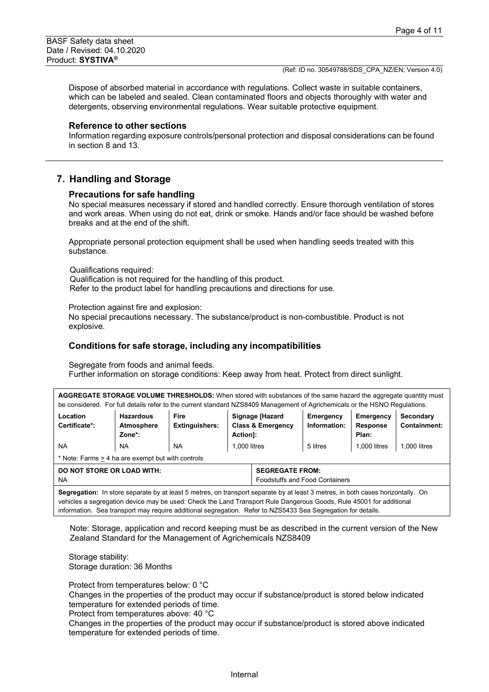Dispose of absorbed material in accordance with regulations. Collect waste in suitable containers, which can be labeled and sealed. Clean contaminated floors and objects thoroughly with water and detergents, observing environmental regulations. Wear suitable protective equipment.

#### **Reference to other sections**

Information regarding exposure controls/personal protection and disposal considerations can be found in section 8 and 13.

## **7. Handling and Storage**

#### **Precautions for safe handling**

No special measures necessary if stored and handled correctly. Ensure thorough ventilation of stores and work areas. When using do not eat, drink or smoke. Hands and/or face should be washed before breaks and at the end of the shift.

Appropriate personal protection equipment shall be used when handling seeds treated with this substance.

Qualifications required:

Qualification is not required for the handling of this product. Refer to the product label for handling precautions and directions for use.

Protection against fire and explosion:

No special precautions necessary. The substance/product is non-combustible. Product is not explosive.

#### **Conditions for safe storage, including any incompatibilities**

Segregate from foods and animal feeds.

Further information on storage conditions: Keep away from heat. Protect from direct sunlight.

**AGGREGATE STORAGE VOLUME THRESHOLDS:** When stored with substances of the same hazard the aggregate quantity must be considered. For full details refer to the current standard NZS8409 Management of Agrichemicals or the HSNO Regulations.

| Location<br>Certificate*:                         | <b>Hazardous</b><br><b>Atmosphere</b><br>Zone*: | Fire<br><b>Extinguishers:</b> | Signage [Hazard<br><b>Class &amp; Emergency</b><br><b>Action1:</b> | Emergency<br>Information: | Emergency<br><b>Response</b><br>Plan: | Secondary<br>Containment: |
|---------------------------------------------------|-------------------------------------------------|-------------------------------|--------------------------------------------------------------------|---------------------------|---------------------------------------|---------------------------|
| <b>NA</b>                                         | <b>NA</b>                                       | <b>NA</b>                     | $1.000$ litres                                                     | 5 litres                  | 1.000 litres                          | 1.000 litres              |
| * Note: Farms > 4 ha are exempt but with controls |                                                 |                               |                                                                    |                           |                                       |                           |

| DO NOT STORE OR LOAD WITH:                                                                                                                                      | <b>SEGREGATE FROM:</b>                |
|-----------------------------------------------------------------------------------------------------------------------------------------------------------------|---------------------------------------|
| NA                                                                                                                                                              | <b>Foodstuffs and Food Containers</b> |
| In the constant in the constant in the state of the constant in the state of $\alpha$ and $\alpha$ is the constant of the constant in the state of the $\alpha$ |                                       |

**Segregation:** In store separate by at least 5 metres, on transport separate by at least 3 metres, in both cases horizontally. On vehicles a segregation device may be used: Check the Land Transport Rule Dangerous Goods, Rule 45001 for additional information. Sea transport may require additional segregation. Refer to NZS5433 Sea Segregation for details.

Note: Storage, application and record keeping must be as described in the current version of the New Zealand Standard for the Management of Agrichemicals NZS8409

Storage stability: Storage duration: 36 Months

Protect from temperatures below: 0 °C

Changes in the properties of the product may occur if substance/product is stored below indicated temperature for extended periods of time.

Protect from temperatures above: 40 °C

Changes in the properties of the product may occur if substance/product is stored above indicated temperature for extended periods of time.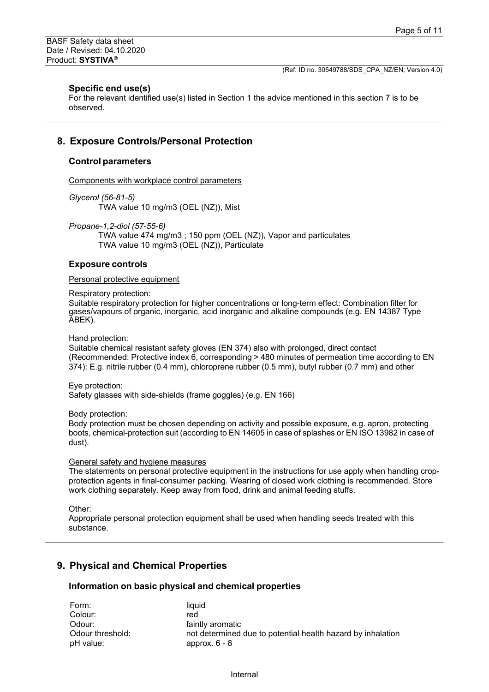#### **Specific end use(s)**

For the relevant identified use(s) listed in Section 1 the advice mentioned in this section 7 is to be observed.

## **8. Exposure Controls/Personal Protection**

## **Control parameters**

Components with workplace control parameters

*Glycerol (56-81-5)*

TWA value 10 mg/m3 (OEL (NZ)), Mist

*Propane-1,2-diol (57-55-6)*

TWA value 474 mg/m3 ; 150 ppm (OEL (NZ)), Vapor and particulates TWA value 10 mg/m3 (OEL (NZ)), Particulate

#### **Exposure controls**

#### Personal protective equipment

Respiratory protection:

Suitable respiratory protection for higher concentrations or long-term effect: Combination filter for gases/vapours of organic, inorganic, acid inorganic and alkaline compounds (e.g. EN 14387 Type ABEK).

Hand protection:

Suitable chemical resistant safety gloves (EN 374) also with prolonged, direct contact (Recommended: Protective index 6, corresponding > 480 minutes of permeation time according to EN 374): E.g. nitrile rubber (0.4 mm), chloroprene rubber (0.5 mm), butyl rubber (0.7 mm) and other

Eye protection:

Safety glasses with side-shields (frame goggles) (e.g. EN 166)

Body protection:

Body protection must be chosen depending on activity and possible exposure, e.g. apron, protecting boots, chemical-protection suit (according to EN 14605 in case of splashes or EN ISO 13982 in case of dust).

#### General safety and hygiene measures

The statements on personal protective equipment in the instructions for use apply when handling cropprotection agents in final-consumer packing. Wearing of closed work clothing is recommended. Store work clothing separately. Keep away from food, drink and animal feeding stuffs.

Other:

Appropriate personal protection equipment shall be used when handling seeds treated with this substance.

## **9. Physical and Chemical Properties**

#### **Information on basic physical and chemical properties**

| Form:            | liauid                                                      |
|------------------|-------------------------------------------------------------|
| Colour:          | red                                                         |
| Odour:           | faintly aromatic                                            |
| Odour threshold: | not determined due to potential health hazard by inhalation |
| pH value:        | approx. $6 - 8$                                             |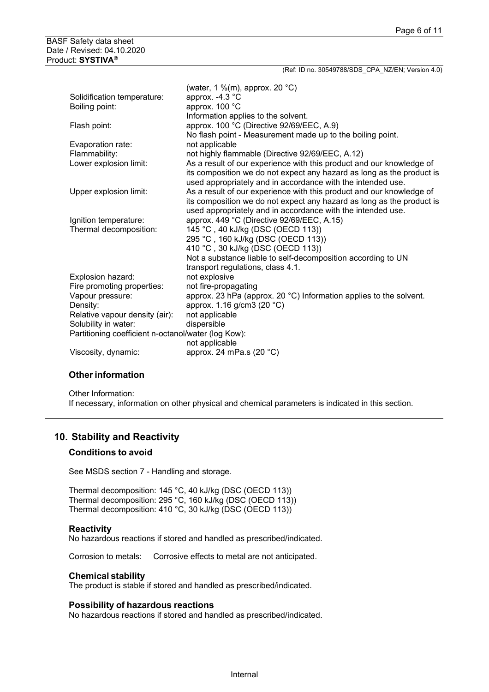| (Ref: ID no. 30549788/SDS CPA NZ/EN; Version 4.0)                                                                                                                                                            |
|--------------------------------------------------------------------------------------------------------------------------------------------------------------------------------------------------------------|
| (water, 1 %(m), approx. 20 $^{\circ}$ C)                                                                                                                                                                     |
| approx. -4.3 °C                                                                                                                                                                                              |
| approx. 100 °C                                                                                                                                                                                               |
| Information applies to the solvent.                                                                                                                                                                          |
| approx. 100 °C (Directive 92/69/EEC, A.9)                                                                                                                                                                    |
| No flash point - Measurement made up to the boiling point.                                                                                                                                                   |
| not applicable                                                                                                                                                                                               |
| not highly flammable (Directive 92/69/EEC, A.12)                                                                                                                                                             |
| As a result of our experience with this product and our knowledge of<br>its composition we do not expect any hazard as long as the product is<br>used appropriately and in accordance with the intended use. |
| As a result of our experience with this product and our knowledge of<br>its composition we do not expect any hazard as long as the product is<br>used appropriately and in accordance with the intended use. |
| approx. 449 °C (Directive 92/69/EEC, A.15)                                                                                                                                                                   |
| 145 °C, 40 kJ/kg (DSC (OECD 113))                                                                                                                                                                            |
| 295 °C, 160 kJ/kg (DSC (OECD 113))                                                                                                                                                                           |
| 410 °C, 30 kJ/kg (DSC (OECD 113))                                                                                                                                                                            |
| Not a substance liable to self-decomposition according to UN                                                                                                                                                 |
| transport regulations, class 4.1.<br>not explosive                                                                                                                                                           |
| not fire-propagating                                                                                                                                                                                         |
| approx. 23 hPa (approx. 20 °C) Information applies to the solvent.                                                                                                                                           |
| approx. 1.16 g/cm3 (20 °C)                                                                                                                                                                                   |
| not applicable                                                                                                                                                                                               |
| dispersible                                                                                                                                                                                                  |
| Partitioning coefficient n-octanol/water (log Kow):                                                                                                                                                          |
| not applicable                                                                                                                                                                                               |
| approx. 24 mPa.s (20 °C)                                                                                                                                                                                     |
|                                                                                                                                                                                                              |

## **Other information**

Other Information: If necessary, information on other physical and chemical parameters is indicated in this section.

# **10. Stability and Reactivity**

#### **Conditions to avoid**

See MSDS section 7 - Handling and storage.

Thermal decomposition: 145 °C, 40 kJ/kg (DSC (OECD 113)) Thermal decomposition: 295 °C, 160 kJ/kg (DSC (OECD 113)) Thermal decomposition: 410 °C, 30 kJ/kg (DSC (OECD 113))

#### **Reactivity**

No hazardous reactions if stored and handled as prescribed/indicated.

Corrosion to metals: Corrosive effects to metal are not anticipated.

#### **Chemical stability**

The product is stable if stored and handled as prescribed/indicated.

#### **Possibility of hazardous reactions**

No hazardous reactions if stored and handled as prescribed/indicated.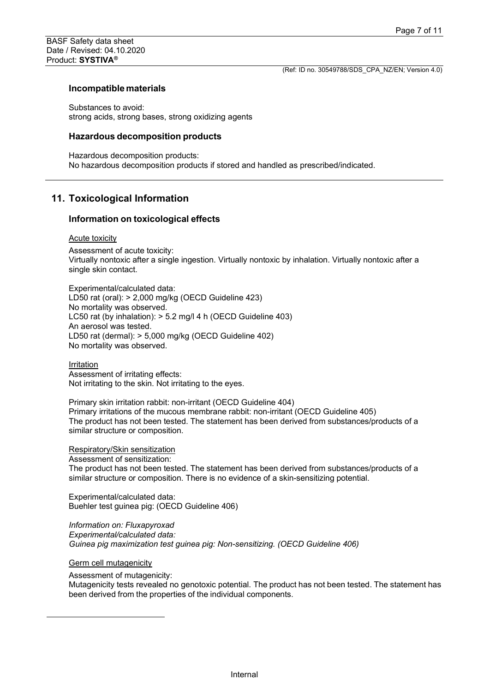#### **Incompatible materials**

Substances to avoid: strong acids, strong bases, strong oxidizing agents

#### **Hazardous decomposition products**

Hazardous decomposition products: No hazardous decomposition products if stored and handled as prescribed/indicated.

## **11. Toxicological Information**

#### **Information on toxicological effects**

#### Acute toxicity

Assessment of acute toxicity: Virtually nontoxic after a single ingestion. Virtually nontoxic by inhalation. Virtually nontoxic after a single skin contact.

Experimental/calculated data: LD50 rat (oral): > 2,000 mg/kg (OECD Guideline 423) No mortality was observed. LC50 rat (by inhalation): > 5.2 mg/l 4 h (OECD Guideline 403) An aerosol was tested. LD50 rat (dermal): > 5,000 mg/kg (OECD Guideline 402) No mortality was observed.

Irritation Assessment of irritating effects: Not irritating to the skin. Not irritating to the eyes.

Primary skin irritation rabbit: non-irritant (OECD Guideline 404) Primary irritations of the mucous membrane rabbit: non-irritant (OECD Guideline 405) The product has not been tested. The statement has been derived from substances/products of a similar structure or composition.

Respiratory/Skin sensitization

Assessment of sensitization:

The product has not been tested. The statement has been derived from substances/products of a similar structure or composition. There is no evidence of a skin-sensitizing potential.

Experimental/calculated data: Buehler test guinea pig: (OECD Guideline 406)

*Information on: Fluxapyroxad Experimental/calculated data: Guinea pig maximization test guinea pig: Non-sensitizing. (OECD Guideline 406)*

Germ cell mutagenicity

Assessment of mutagenicity:

Mutagenicity tests revealed no genotoxic potential. The product has not been tested. The statement has been derived from the properties of the individual components.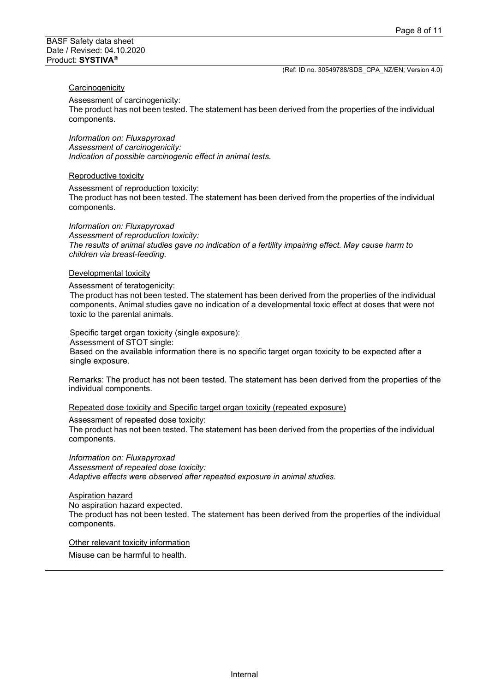## **Carcinogenicity**

Assessment of carcinogenicity:

The product has not been tested. The statement has been derived from the properties of the individual components.

*Information on: Fluxapyroxad Assessment of carcinogenicity: Indication of possible carcinogenic effect in animal tests.*

#### Reproductive toxicity

Assessment of reproduction toxicity:

The product has not been tested. The statement has been derived from the properties of the individual components.

#### *Information on: Fluxapyroxad*

*Assessment of reproduction toxicity: The results of animal studies gave no indication of a fertility impairing effect. May cause harm to children via breast-feeding.*

#### Developmental toxicity

Assessment of teratogenicity:

The product has not been tested. The statement has been derived from the properties of the individual components. Animal studies gave no indication of a developmental toxic effect at doses that were not toxic to the parental animals.

#### Specific target organ toxicity (single exposure):

Assessment of STOT single:

Based on the available information there is no specific target organ toxicity to be expected after a single exposure.

Remarks: The product has not been tested. The statement has been derived from the properties of the individual components.

Repeated dose toxicity and Specific target organ toxicity (repeated exposure)

Assessment of repeated dose toxicity:

The product has not been tested. The statement has been derived from the properties of the individual components.

*Information on: Fluxapyroxad Assessment of repeated dose toxicity: Adaptive effects were observed after repeated exposure in animal studies.*

#### Aspiration hazard

No aspiration hazard expected.

The product has not been tested. The statement has been derived from the properties of the individual components.

#### Other relevant toxicity information

Misuse can be harmful to health.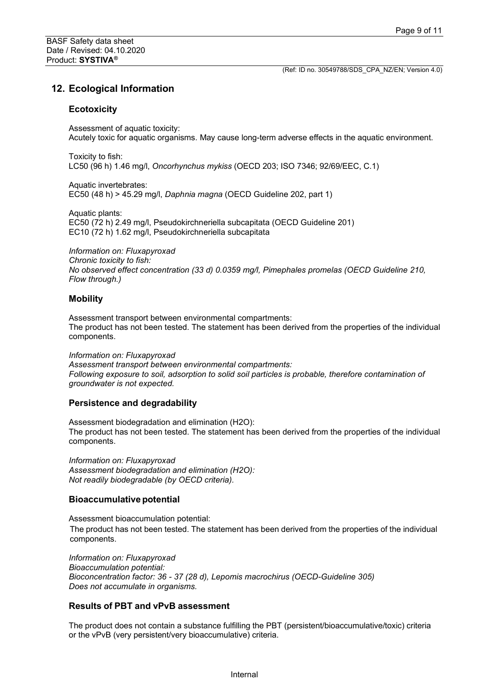# **12. Ecological Information**

## **Ecotoxicity**

Assessment of aquatic toxicity: Acutely toxic for aquatic organisms. May cause long-term adverse effects in the aquatic environment.

Toxicity to fish: LC50 (96 h) 1.46 mg/l, *Oncorhynchus mykiss* (OECD 203; ISO 7346; 92/69/EEC, C.1)

Aquatic invertebrates: EC50 (48 h) > 45.29 mg/l, *Daphnia magna* (OECD Guideline 202, part 1)

Aquatic plants: EC50 (72 h) 2.49 mg/l, Pseudokirchneriella subcapitata (OECD Guideline 201) EC10 (72 h) 1.62 mg/l, Pseudokirchneriella subcapitata

*Information on: Fluxapyroxad Chronic toxicity to fish: No observed effect concentration (33 d) 0.0359 mg/l, Pimephales promelas (OECD Guideline 210, Flow through.)*

## **Mobility**

Assessment transport between environmental compartments: The product has not been tested. The statement has been derived from the properties of the individual components.

*Information on: Fluxapyroxad Assessment transport between environmental compartments: Following exposure to soil, adsorption to solid soil particles is probable, therefore contamination of groundwater is not expected.*

## **Persistence and degradability**

Assessment biodegradation and elimination (H2O): The product has not been tested. The statement has been derived from the properties of the individual components.

*Information on: Fluxapyroxad Assessment biodegradation and elimination (H2O): Not readily biodegradable (by OECD criteria).*

## **Bioaccumulativepotential**

Assessment bioaccumulation potential: The product has not been tested. The statement has been derived from the properties of the individual components.

*Information on: Fluxapyroxad Bioaccumulation potential: Bioconcentration factor: 36 - 37 (28 d), Lepomis macrochirus (OECD-Guideline 305) Does not accumulate in organisms.*

## **Results of PBT and vPvB assessment**

The product does not contain a substance fulfilling the PBT (persistent/bioaccumulative/toxic) criteria or the vPvB (very persistent/very bioaccumulative) criteria.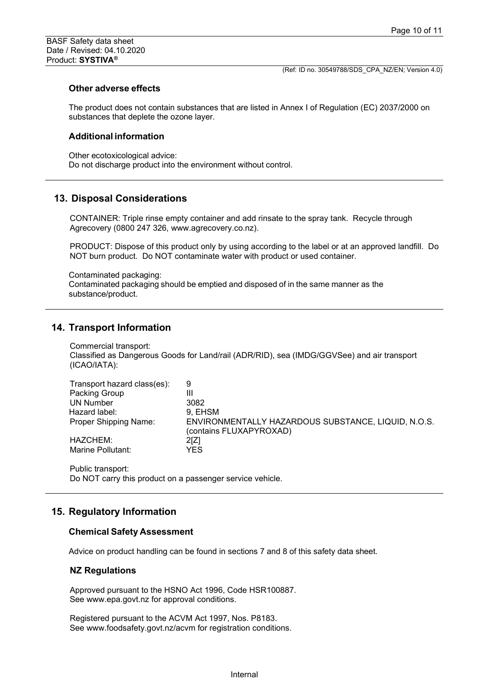#### **Other adverse effects**

The product does not contain substances that are listed in Annex I of Regulation (EC) 2037/2000 on substances that deplete the ozone layer.

#### **Additional information**

Other ecotoxicological advice: Do not discharge product into the environment without control.

## **13. Disposal Considerations**

CONTAINER: Triple rinse empty container and add rinsate to the spray tank. Recycle through Agrecovery (0800 247 326, www.agrecovery.co.nz).

PRODUCT: Dispose of this product only by using according to the label or at an approved landfill. Do NOT burn product. Do NOT contaminate water with product or used container.

Contaminated packaging: Contaminated packaging should be emptied and disposed of in the same manner as the substance/product.

## **14. Transport Information**

Commercial transport: Classified as Dangerous Goods for Land/rail (ADR/RID), sea (IMDG/GGVSee) and air transport (ICAO/IATA):

| Transport hazard class(es):  | 9                                                                              |
|------------------------------|--------------------------------------------------------------------------------|
| Packing Group                | Ш                                                                              |
| UN Number                    | 3082                                                                           |
| Hazard label:                | 9. EHSM                                                                        |
| <b>Proper Shipping Name:</b> | ENVIRONMENTALLY HAZARDOUS SUBSTANCE, LIQUID, N.O.S.<br>(contains FLUXAPYROXAD) |
| HAZCHEM:                     | 21Z1                                                                           |
| Marine Pollutant:            | YES                                                                            |

Public transport: Do NOT carry this product on a passenger service vehicle.

## **15. Regulatory Information**

#### **Chemical Safety Assessment**

Advice on product handling can be found in sections 7 and 8 of this safety data sheet.

### **NZ Regulations**

Approved pursuant to the HSNO Act 1996, Code HSR100887. See www.epa.govt.nz for approval conditions.

Registered pursuant to the ACVM Act 1997, Nos. P8183. See www.foodsafety.govt.nz/acvm for registration conditions.